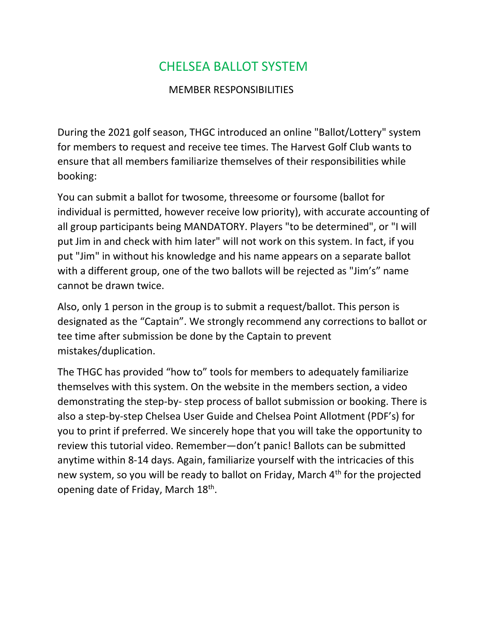## CHELSEA BALLOT SYSTEM

## MEMBER RESPONSIBILITIES

During the 2021 golf season, THGC introduced an online "Ballot/Lottery" system for members to request and receive tee times. The Harvest Golf Club wants to ensure that all members familiarize themselves of their responsibilities while booking:

You can submit a ballot for twosome, threesome or foursome (ballot for individual is permitted, however receive low priority), with accurate accounting of all group participants being MANDATORY. Players "to be determined", or "I will put Jim in and check with him later" will not work on this system. In fact, if you put "Jim" in without his knowledge and his name appears on a separate ballot with a different group, one of the two ballots will be rejected as "Jim's" name cannot be drawn twice.

Also, only 1 person in the group is to submit a request/ballot. This person is designated as the "Captain". We strongly recommend any corrections to ballot or tee time after submission be done by the Captain to prevent mistakes/duplication.

The THGC has provided "how to" tools for members to adequately familiarize themselves with this system. On the website in the members section, a video demonstrating the step-by- step process of ballot submission or booking. There is also a step-by-step Chelsea User Guide and Chelsea Point Allotment (PDF's) for you to print if preferred. We sincerely hope that you will take the opportunity to review this tutorial video. Remember—don't panic! Ballots can be submitted anytime within 8-14 days. Again, familiarize yourself with the intricacies of this new system, so you will be ready to ballot on Friday, March 4<sup>th</sup> for the projected opening date of Friday, March 18<sup>th</sup>.